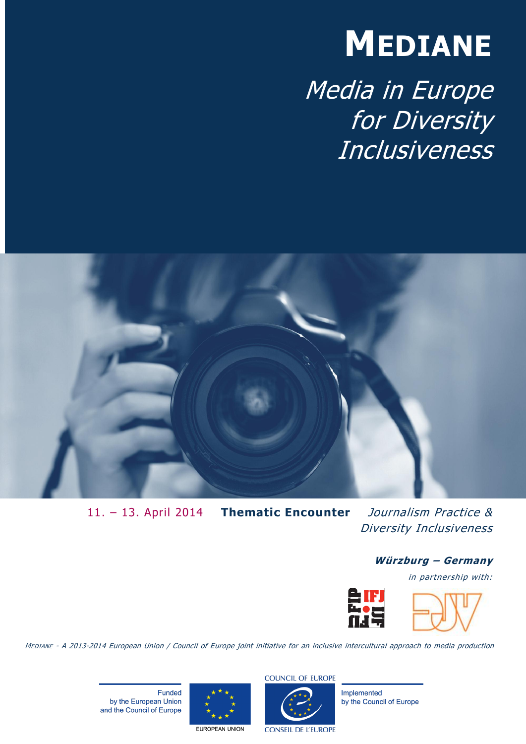# **MEDIANE**

Media in Europe for Diversity Inclusiveness



11. – 13. April 2014 **Thematic Encounter** Journalism Practice & Diversity Inclusiveness

## **Würzburg – Germany**

in partnership with:



MEDIANE - A 2013-2014 European Union / Council of Europe joint initiative for an inclusive intercultural approach to media production

**Funded** by the European Union and the Council of Europe



**COUNCIL OF EUROPE** 



Implemented by the Council of Europe

EUROPEAN UNION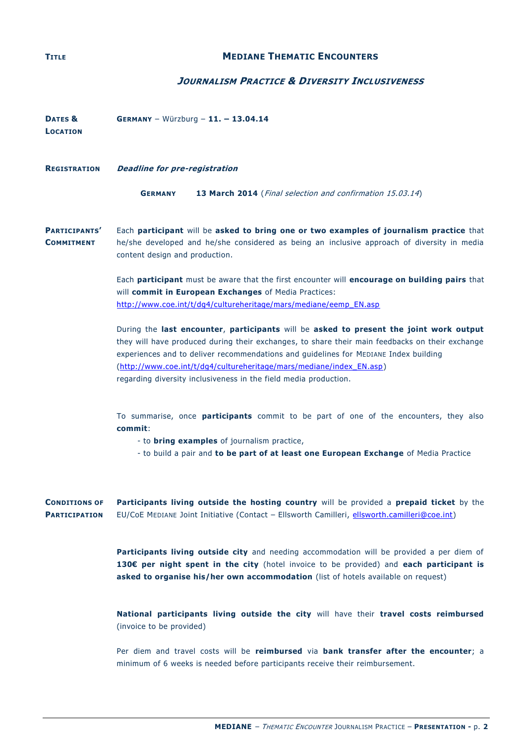### **TITLE MEDIANE THEMATIC ENCOUNTERS**

#### **JOURNALISM PRACTICE & DIVERSITY INCLUSIVENESS**

**DATES & LOCATION GERMANY** – Würzburg – **11. – 13.04.14**

**REGISTRATION Deadline for pre-registration** 

**GERMANY 13 March 2014** (Final selection and confirmation 15.03.14)

**PARTICIPANTS' COMMITMENT**  Each **participant** will be **asked to bring one or two examples of journalism practice** that he/she developed and he/she considered as being an inclusive approach of diversity in media content design and production.

> Each **participant** must be aware that the first encounter will **encourage on building pairs** that will **commit in European Exchanges** of Media Practices: [http://www.coe.int/t/dg4/cultureheritage/mars/mediane/eemp\\_EN.asp](http://www.coe.int/t/dg4/cultureheritage/mars/mediane/eemp_EN.asp)

> During the **last encounter**, **participants** will be **asked to present the joint work output**  they will have produced during their exchanges, to share their main feedbacks on their exchange experiences and to deliver recommendations and guidelines for MEDIANE Index building [\(http://www.coe.int/t/dg4/cultureheritage/mars/mediane/index\\_EN.asp\)](http://www.coe.int/t/dg4/cultureheritage/mars/mediane/index_EN.asp) regarding diversity inclusiveness in the field media production.

> To summarise, once **participants** commit to be part of one of the encounters, they also **commit**:

- to **bring examples** of journalism practice,
- to build a pair and **to be part of at least one European Exchange** of Media Practice

**CONDITIONS OF PARTICIPATION Participants living outside the hosting country** will be provided a **prepaid ticket** by the EU/CoE MEDIANE Joint Initiative (Contact – Ellsworth Camilleri, [ellsworth.camilleri@coe.int\)](mailto:ellsworth.camilleri@coe.int)

> **Participants living outside city** and needing accommodation will be provided a per diem of **130€ per night spent in the city** (hotel invoice to be provided) and **each participant is asked to organise his/her own accommodation** (list of hotels available on request)

> **National participants living outside the city** will have their **travel costs reimbursed** (invoice to be provided)

> Per diem and travel costs will be **reimbursed** via **bank transfer after the encounter**; a minimum of 6 weeks is needed before participants receive their reimbursement.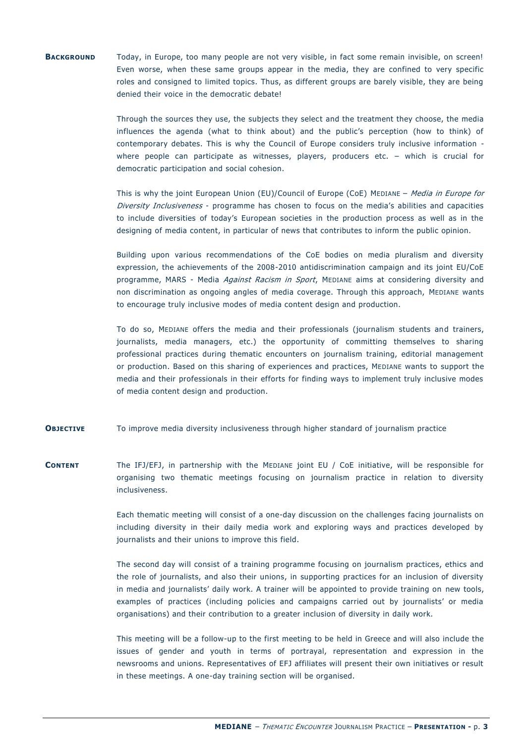**BACKGROUND** Today, in Europe, too many people are not very visible, in fact some remain invisible, on screen! Even worse, when these same groups appear in the media, they are confined to very specific roles and consigned to limited topics. Thus, as different groups are barely visible, they are being denied their voice in the democratic debate!

> Through the sources they use, the subjects they select and the treatment they choose, the media influences the agenda (what to think about) and the public's perception (how to think) of contemporary debates. This is why the Council of Europe considers truly inclusive information where people can participate as witnesses, players, producers etc. – which is crucial for democratic participation and social cohesion.

> This is why the joint European Union (EU)/Council of Europe (CoE) MEDIANE – Media in Europe for Diversity Inclusiveness - programme has chosen to focus on the media's abilities and capacities to include diversities of today's European societies in the production process as well as in the designing of media content, in particular of news that contributes to inform the public opinion.

> Building upon various recommendations of the CoE bodies on media pluralism and diversity expression, the achievements of the 2008-2010 antidiscrimination campaign and its joint EU/CoE programme, MARS - Media Against Racism in Sport, MEDIANE aims at considering diversity and non discrimination as ongoing angles of media coverage. Through this approach, MEDIANE wants to encourage truly inclusive modes of media content design and production.

> To do so, MEDIANE offers the media and their professionals (journalism students and trainers, journalists, media managers, etc.) the opportunity of committing themselves to sharing professional practices during thematic encounters on journalism training, editorial management or production. Based on this sharing of experiences and practices, MEDIANE wants to support the media and their professionals in their efforts for finding ways to implement truly inclusive modes of media content design and production.

- **OBJECTIVE** To improve media diversity inclusiveness through higher standard of journalism practice
- **CONTENT** The IFJ/EFJ, in partnership with the MEDIANE joint EU / CoE initiative, will be responsible for organising two thematic meetings focusing on journalism practice in relation to diversity inclusiveness.

Each thematic meeting will consist of a one-day discussion on the challenges facing journalists on including diversity in their daily media work and exploring ways and practices developed by journalists and their unions to improve this field.

The second day will consist of a training programme focusing on journalism practices, ethics and the role of journalists, and also their unions, in supporting practices for an inclusion of diversity in media and journalists' daily work. A trainer will be appointed to provide training on new tools, examples of practices (including policies and campaigns carried out by journalists' or media organisations) and their contribution to a greater inclusion of diversity in daily work.

This meeting will be a follow-up to the first meeting to be held in Greece and will also include the issues of gender and youth in terms of portrayal, representation and expression in the newsrooms and unions. Representatives of EFJ affiliates will present their own initiatives or result in these meetings. A one-day training section will be organised.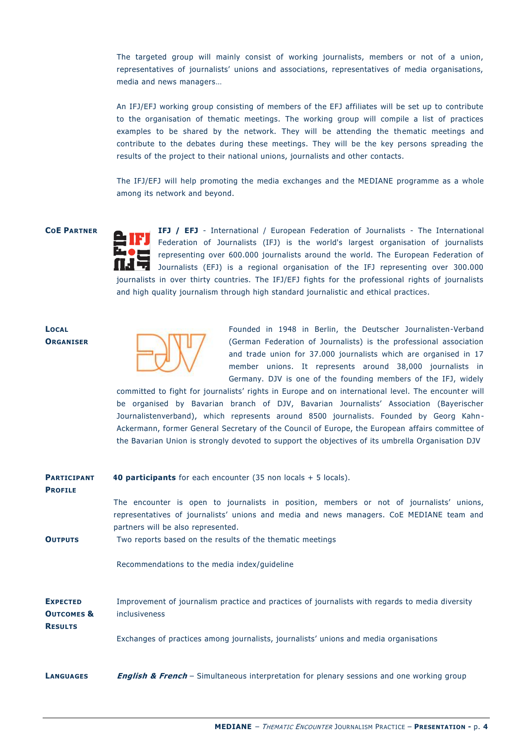The targeted group will mainly consist of working journalists, members or not of a union, representatives of journalists' unions and associations, representatives of media organisations, media and news managers…

An IFJ/EFJ working group consisting of members of the EFJ affiliates will be set up to contribute to the organisation of thematic meetings. The working group will compile a list of practices examples to be shared by the network. They will be attending the thematic meetings and contribute to the debates during these meetings. They will be the key persons spreading the results of the project to their national unions, journalists and other contacts.

The IFJ/EFJ will help promoting the media exchanges and the MEDIANE programme as a whole among its network and beyond.

**COE PARTNER IFJ / EFJ** - International / European Federation of Journalists - The International Federation of Journalists (IFJ) is the world's largest organisation of journalists representing over 600.000 journalists around the world. The European Federation of Journalists (EFJ) is a regional organisation of the IFJ representing over 300.000 journalists in over thirty countries. The IFJ/EFJ fights for the professional rights of journalists and high quality journalism through high standard journalistic and ethical practices.

#### **LOCAL ORGANISER**



Founded in 1948 in Berlin, the Deutscher Journalisten-Verband (German Federation of Journalists) is the professional association and trade union for 37.000 journalists which are organised in 17 member unions. It represents around 38,000 journalists in Germany. DJV is one of the founding members of the IFJ, widely

committed to fight for journalists' rights in Europe and on international level. The encounter will be organised by Bavarian branch of DJV, Bavarian Journalists' Association (Bayerischer Journalistenverband), which represents around 8500 journalists. Founded by Georg Kahn - Ackermann, former General Secretary of the Council of Europe, the European affairs committee of the Bavarian Union is strongly devoted to support the objectives of its umbrella Organisation DJV

| <b>PARTICIPANT</b>                      | <b>40 participants</b> for each encounter $(35 \text{ non local s} + 5 \text{ local s}).$                                                                                                                                  |  |  |  |
|-----------------------------------------|----------------------------------------------------------------------------------------------------------------------------------------------------------------------------------------------------------------------------|--|--|--|
| <b>PROFILE</b>                          |                                                                                                                                                                                                                            |  |  |  |
|                                         | The encounter is open to journalists in position, members or not of journalists' unions,<br>representatives of journalists' unions and media and news managers. CoE MEDIANE team and<br>partners will be also represented. |  |  |  |
| <b>OUTPUTS</b>                          | Two reports based on the results of the thematic meetings                                                                                                                                                                  |  |  |  |
|                                         | Recommendations to the media index/guideline                                                                                                                                                                               |  |  |  |
| <b>EXPECTED</b>                         | Improvement of journalism practice and practices of journalists with regards to media diversity                                                                                                                            |  |  |  |
| <b>OUTCOMES &amp;</b><br><b>RESULTS</b> | inclusiveness                                                                                                                                                                                                              |  |  |  |
|                                         | Exchanges of practices among journalists, journalists' unions and media organisations                                                                                                                                      |  |  |  |
| <b>LANGUAGES</b>                        | <b>English &amp; French</b> – Simultaneous interpretation for plenary sessions and one working group                                                                                                                       |  |  |  |
|                                         |                                                                                                                                                                                                                            |  |  |  |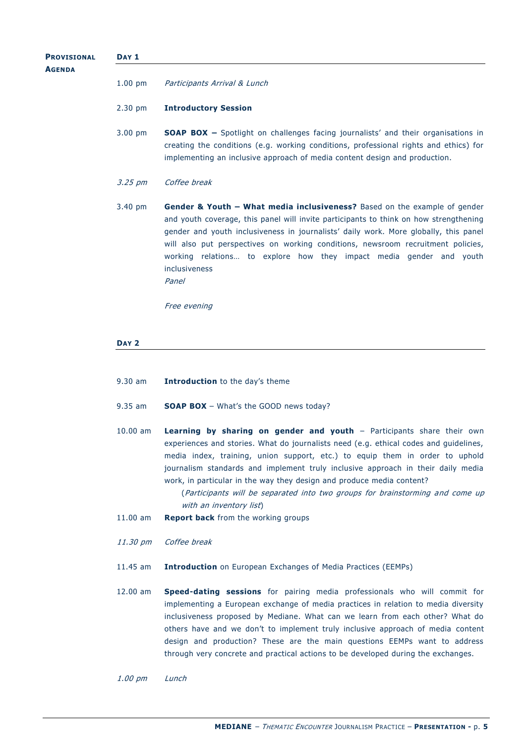| <b>PROVISIONAL</b>                | DAY <sub>1</sub> |                                                                                                                                                                                                                                                                                                                                                                                                                                                                                                                          |  |  |
|-----------------------------------|------------------|--------------------------------------------------------------------------------------------------------------------------------------------------------------------------------------------------------------------------------------------------------------------------------------------------------------------------------------------------------------------------------------------------------------------------------------------------------------------------------------------------------------------------|--|--|
| <b>AGENDA</b>                     |                  |                                                                                                                                                                                                                                                                                                                                                                                                                                                                                                                          |  |  |
|                                   | $1.00$ pm        | Participants Arrival & Lunch                                                                                                                                                                                                                                                                                                                                                                                                                                                                                             |  |  |
|                                   | 2.30 pm          | <b>Introductory Session</b>                                                                                                                                                                                                                                                                                                                                                                                                                                                                                              |  |  |
|                                   | $3.00$ pm        | <b>SOAP BOX</b> - Spotlight on challenges facing journalists' and their organisations in<br>creating the conditions (e.g. working conditions, professional rights and ethics) for<br>implementing an inclusive approach of media content design and production.                                                                                                                                                                                                                                                          |  |  |
|                                   | 3.25 pm          | Coffee break                                                                                                                                                                                                                                                                                                                                                                                                                                                                                                             |  |  |
| 3.40 pm<br>inclusiveness<br>Panel |                  | Gender & Youth - What media inclusiveness? Based on the example of gender<br>and youth coverage, this panel will invite participants to think on how strengthening<br>gender and youth inclusiveness in journalists' daily work. More globally, this panel<br>will also put perspectives on working conditions, newsroom recruitment policies,<br>working relations to explore how they impact media gender and youth                                                                                                    |  |  |
|                                   |                  | Free evening                                                                                                                                                                                                                                                                                                                                                                                                                                                                                                             |  |  |
|                                   | DAY <sub>2</sub> |                                                                                                                                                                                                                                                                                                                                                                                                                                                                                                                          |  |  |
|                                   |                  |                                                                                                                                                                                                                                                                                                                                                                                                                                                                                                                          |  |  |
|                                   | $9.30$ am        | Introduction to the day's theme                                                                                                                                                                                                                                                                                                                                                                                                                                                                                          |  |  |
|                                   | 9.35 am          | <b>SOAP BOX</b> - What's the GOOD news today?                                                                                                                                                                                                                                                                                                                                                                                                                                                                            |  |  |
| $10.00$ am                        |                  | Learning by sharing on gender and youth - Participants share their own<br>experiences and stories. What do journalists need (e.g. ethical codes and guidelines,<br>media index, training, union support, etc.) to equip them in order to uphold<br>journalism standards and implement truly inclusive approach in their daily media<br>work, in particular in the way they design and produce media content?<br>(Participants will be separated into two groups for brainstorming and come up<br>with an inventory list) |  |  |
|                                   | $11.00$ am       | Report back from the working groups                                                                                                                                                                                                                                                                                                                                                                                                                                                                                      |  |  |
|                                   | 11.30 pm         | Coffee break                                                                                                                                                                                                                                                                                                                                                                                                                                                                                                             |  |  |
|                                   | 11.45 am         | <b>Introduction</b> on European Exchanges of Media Practices (EEMPs)                                                                                                                                                                                                                                                                                                                                                                                                                                                     |  |  |
|                                   | $12.00$ am       | Speed-dating sessions for pairing media professionals who will commit for<br>implementing a European exchange of media practices in relation to media diversity<br>inclusiveness proposed by Mediane. What can we learn from each other? What do<br>others have and we don't to implement truly inclusive approach of media content<br>design and production? These are the main questions EEMPs want to address<br>through very concrete and practical actions to be developed during the exchanges.                    |  |  |
|                                   | 1.00 pm          | Lunch                                                                                                                                                                                                                                                                                                                                                                                                                                                                                                                    |  |  |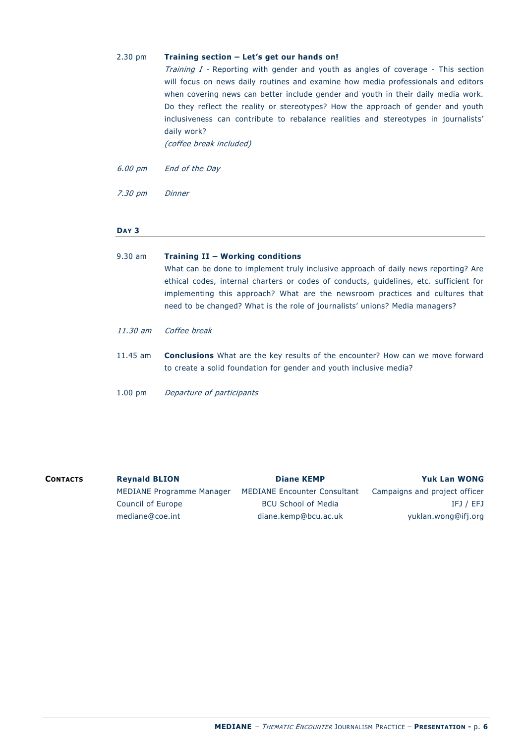#### 2.30 pm **Training section – Let's get our hands on!**

Training  $I$  - Reporting with gender and youth as angles of coverage - This section will focus on news daily routines and examine how media professionals and editors when covering news can better include gender and youth in their daily media work. Do they reflect the reality or stereotypes? How the approach of gender and youth inclusiveness can contribute to rebalance realities and stereotypes in journalists' daily work?

(coffee break included)

- 6.00 pm End of the Day
- 7.30 pm Dinner

#### **DAY 3**

## 9.30 am **Training II – Working conditions** What can be done to implement truly inclusive approach of daily news reporting? Are ethical codes, internal charters or codes of conducts, guidelines, etc. sufficient for implementing this approach? What are the newsroom practices and cultures that need to be changed? What is the role of journalists' unions? Media managers? 11.30 am Coffee break 11.45 am **Conclusions** What are the key results of the encounter? How can we move forward to create a solid foundation for gender and youth inclusive media?

1.00 pm Departure of participants

| <b>CONTACTS</b> | <b>Reynald BLION</b>      | <b>Diane KEMP</b>                   | <b>Yuk Lan WONG</b>           |  |
|-----------------|---------------------------|-------------------------------------|-------------------------------|--|
|                 | MEDIANE Programme Manager | <b>MEDIANE Encounter Consultant</b> | Campaigns and project officer |  |
|                 | Council of Europe         | <b>BCU School of Media</b>          | IFJ / EFJ                     |  |
|                 | mediane@coe.int           | diane.kemp@bcu.ac.uk                | yuklan.wong@ifj.org           |  |